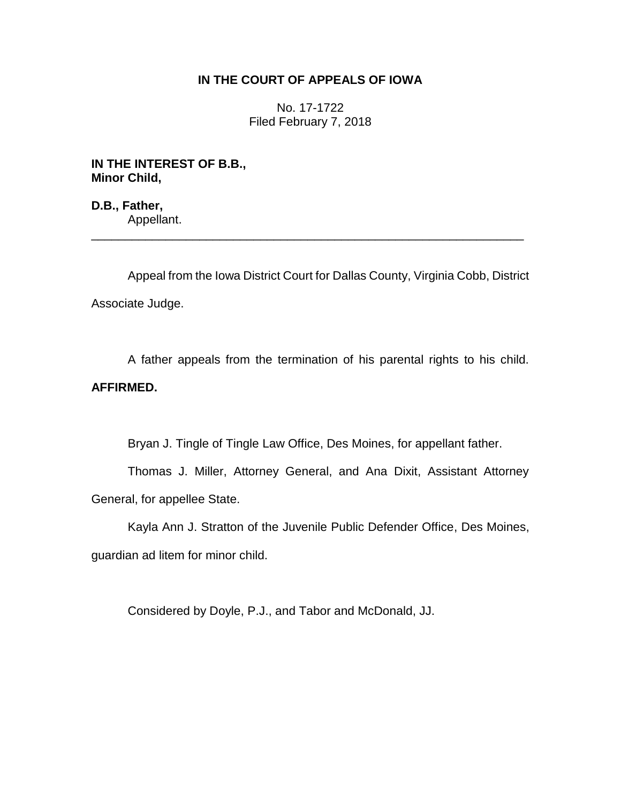## **IN THE COURT OF APPEALS OF IOWA**

No. 17-1722 Filed February 7, 2018

**IN THE INTEREST OF B.B., Minor Child,**

**D.B., Father,** Appellant. \_\_\_\_\_\_\_\_\_\_\_\_\_\_\_\_\_\_\_\_\_\_\_\_\_\_\_\_\_\_\_\_\_\_\_\_\_\_\_\_\_\_\_\_\_\_\_\_\_\_\_\_\_\_\_\_\_\_\_\_\_\_\_\_

Appeal from the Iowa District Court for Dallas County, Virginia Cobb, District Associate Judge.

A father appeals from the termination of his parental rights to his child. **AFFIRMED.**

Bryan J. Tingle of Tingle Law Office, Des Moines, for appellant father.

Thomas J. Miller, Attorney General, and Ana Dixit, Assistant Attorney General, for appellee State.

Kayla Ann J. Stratton of the Juvenile Public Defender Office, Des Moines, guardian ad litem for minor child.

Considered by Doyle, P.J., and Tabor and McDonald, JJ.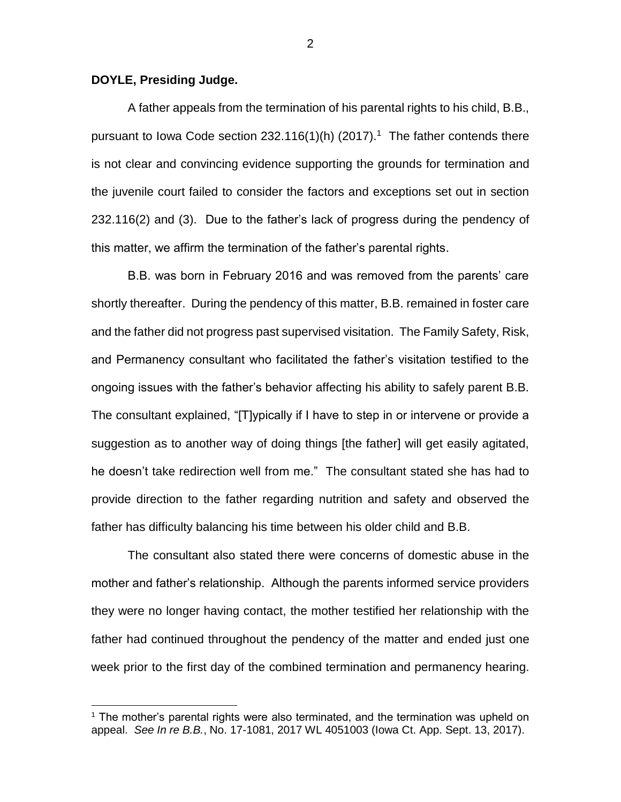## **DOYLE, Presiding Judge.**

 $\overline{a}$ 

A father appeals from the termination of his parental rights to his child, B.B., pursuant to lowa Code section 232.116(1)(h) (2017).<sup>1</sup> The father contends there is not clear and convincing evidence supporting the grounds for termination and the juvenile court failed to consider the factors and exceptions set out in section 232.116(2) and (3). Due to the father's lack of progress during the pendency of this matter, we affirm the termination of the father's parental rights.

B.B. was born in February 2016 and was removed from the parents' care shortly thereafter. During the pendency of this matter, B.B. remained in foster care and the father did not progress past supervised visitation. The Family Safety, Risk, and Permanency consultant who facilitated the father's visitation testified to the ongoing issues with the father's behavior affecting his ability to safely parent B.B. The consultant explained, "[T]ypically if I have to step in or intervene or provide a suggestion as to another way of doing things [the father] will get easily agitated, he doesn't take redirection well from me." The consultant stated she has had to provide direction to the father regarding nutrition and safety and observed the father has difficulty balancing his time between his older child and B.B.

The consultant also stated there were concerns of domestic abuse in the mother and father's relationship. Although the parents informed service providers they were no longer having contact, the mother testified her relationship with the father had continued throughout the pendency of the matter and ended just one week prior to the first day of the combined termination and permanency hearing.

 $<sup>1</sup>$  The mother's parental rights were also terminated, and the termination was upheld on</sup> appeal. *See In re B.B.*, No. 17-1081, 2017 WL 4051003 (Iowa Ct. App. Sept. 13, 2017).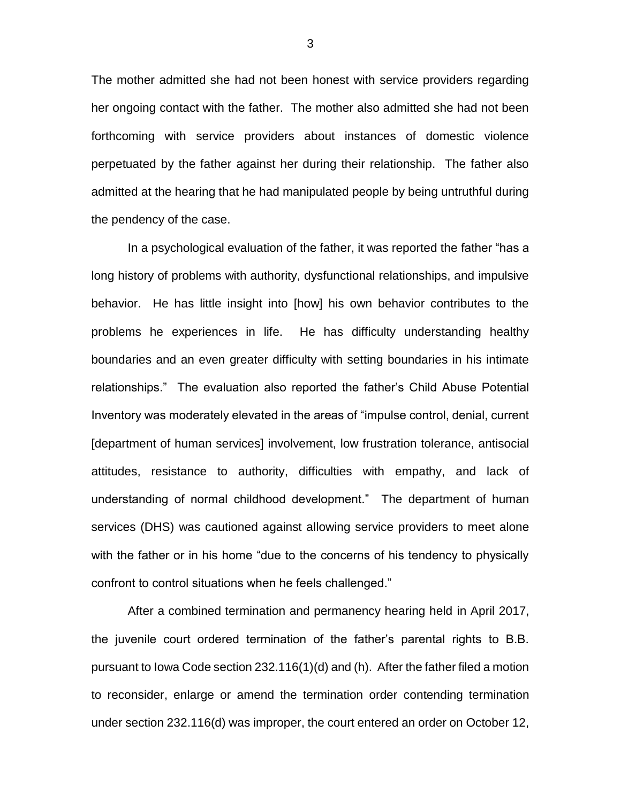The mother admitted she had not been honest with service providers regarding her ongoing contact with the father. The mother also admitted she had not been forthcoming with service providers about instances of domestic violence perpetuated by the father against her during their relationship. The father also admitted at the hearing that he had manipulated people by being untruthful during the pendency of the case.

In a psychological evaluation of the father, it was reported the father "has a long history of problems with authority, dysfunctional relationships, and impulsive behavior. He has little insight into [how] his own behavior contributes to the problems he experiences in life. He has difficulty understanding healthy boundaries and an even greater difficulty with setting boundaries in his intimate relationships." The evaluation also reported the father's Child Abuse Potential Inventory was moderately elevated in the areas of "impulse control, denial, current [department of human services] involvement, low frustration tolerance, antisocial attitudes, resistance to authority, difficulties with empathy, and lack of understanding of normal childhood development." The department of human services (DHS) was cautioned against allowing service providers to meet alone with the father or in his home "due to the concerns of his tendency to physically confront to control situations when he feels challenged."

After a combined termination and permanency hearing held in April 2017, the juvenile court ordered termination of the father's parental rights to B.B. pursuant to Iowa Code section 232.116(1)(d) and (h). After the father filed a motion to reconsider, enlarge or amend the termination order contending termination under section 232.116(d) was improper, the court entered an order on October 12,

3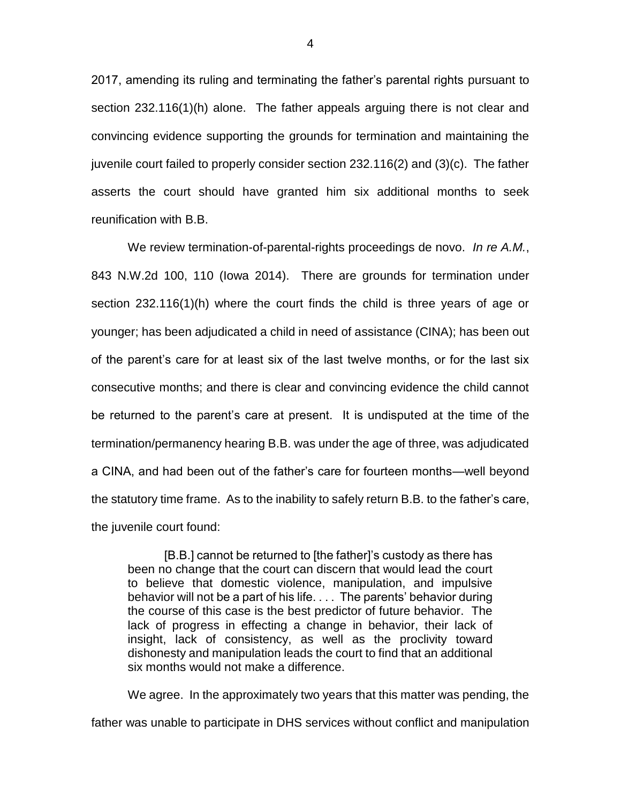2017, amending its ruling and terminating the father's parental rights pursuant to section 232.116(1)(h) alone. The father appeals arguing there is not clear and convincing evidence supporting the grounds for termination and maintaining the juvenile court failed to properly consider section 232.116(2) and (3)(c). The father asserts the court should have granted him six additional months to seek reunification with B.B.

We review termination-of-parental-rights proceedings de novo. *In re A.M.*, 843 N.W.2d 100, 110 (Iowa 2014). There are grounds for termination under section 232.116(1)(h) where the court finds the child is three years of age or younger; has been adjudicated a child in need of assistance (CINA); has been out of the parent's care for at least six of the last twelve months, or for the last six consecutive months; and there is clear and convincing evidence the child cannot be returned to the parent's care at present. It is undisputed at the time of the termination/permanency hearing B.B. was under the age of three, was adjudicated a CINA, and had been out of the father's care for fourteen months—well beyond the statutory time frame. As to the inability to safely return B.B. to the father's care, the juvenile court found:

[B.B.] cannot be returned to [the father]'s custody as there has been no change that the court can discern that would lead the court to believe that domestic violence, manipulation, and impulsive behavior will not be a part of his life. . . . The parents' behavior during the course of this case is the best predictor of future behavior. The lack of progress in effecting a change in behavior, their lack of insight, lack of consistency, as well as the proclivity toward dishonesty and manipulation leads the court to find that an additional six months would not make a difference.

We agree. In the approximately two years that this matter was pending, the father was unable to participate in DHS services without conflict and manipulation

4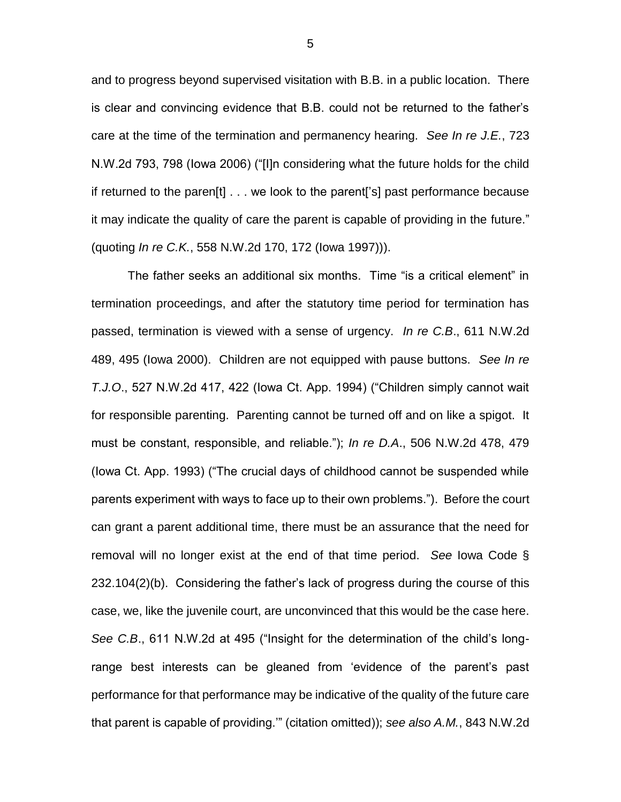and to progress beyond supervised visitation with B.B. in a public location. There is clear and convincing evidence that B.B. could not be returned to the father's care at the time of the termination and permanency hearing. *See In re J.E.*, 723 N.W.2d 793, 798 (Iowa 2006) ("[I]n considering what the future holds for the child if returned to the paren[t] . . . we look to the parent['s] past performance because it may indicate the quality of care the parent is capable of providing in the future." (quoting *In re C.K.*, 558 N.W.2d 170, 172 (Iowa 1997))).

The father seeks an additional six months. Time "is a critical element" in termination proceedings, and after the statutory time period for termination has passed, termination is viewed with a sense of urgency. *In re C.B*., 611 N.W.2d 489, 495 (Iowa 2000). Children are not equipped with pause buttons. *See In re T.J.O*., 527 N.W.2d 417, 422 (Iowa Ct. App. 1994) ("Children simply cannot wait for responsible parenting. Parenting cannot be turned off and on like a spigot. It must be constant, responsible, and reliable."); *In re D.A*., 506 N.W.2d 478, 479 (Iowa Ct. App. 1993) ("The crucial days of childhood cannot be suspended while parents experiment with ways to face up to their own problems."). Before the court can grant a parent additional time, there must be an assurance that the need for removal will no longer exist at the end of that time period. *See* Iowa Code § 232.104(2)(b). Considering the father's lack of progress during the course of this case, we, like the juvenile court, are unconvinced that this would be the case here. *See C.B*., 611 N.W.2d at 495 ("Insight for the determination of the child's longrange best interests can be gleaned from 'evidence of the parent's past performance for that performance may be indicative of the quality of the future care that parent is capable of providing.'" (citation omitted)); *see also A.M.*, 843 N.W.2d